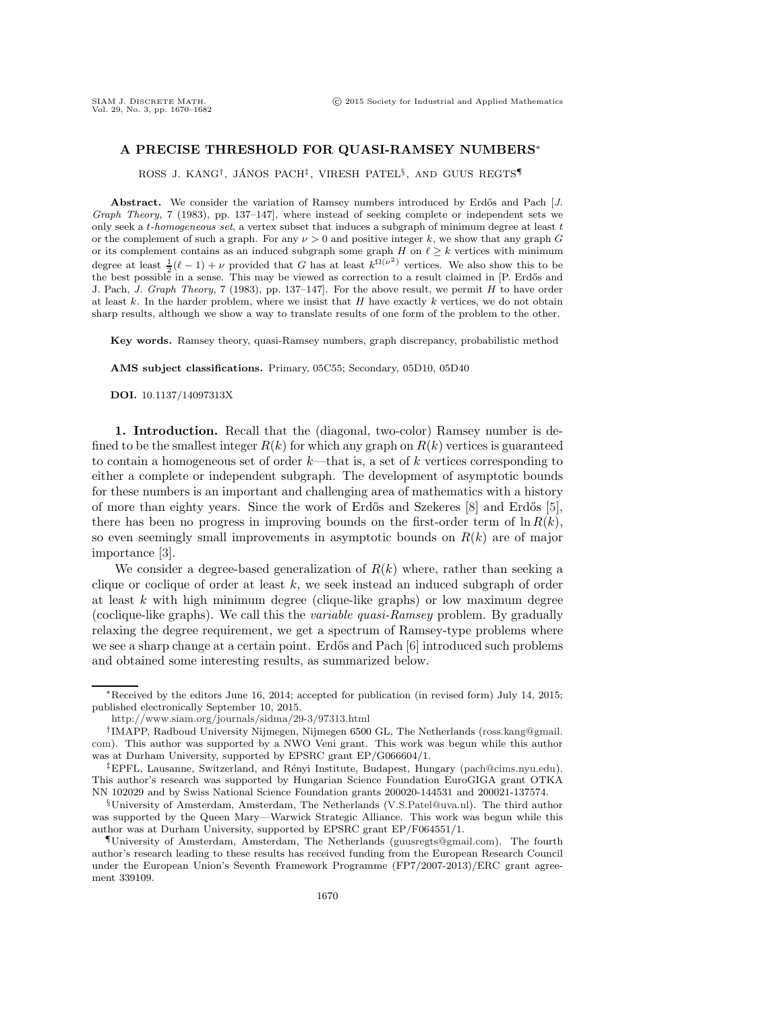## **A PRECISE THRESHOLD FOR QUASI-RAMSEY NUMBERS**∗

ROSS J. KANG<sup>†</sup>, JÁNOS PACH<sup>‡</sup>, VIRESH PATEL<sup>§</sup>, AND GUUS REGTS<sup>¶</sup>

Abstract. We consider the variation of Ramsey numbers introduced by Erdős and Pach [*J. Graph Theory*, 7 (1983), pp. 137–147], where instead of seeking complete or independent sets we only seek a t*-homogeneous set*, a vertex subset that induces a subgraph of minimum degree at least t or the complement of such a graph. For any  $\nu > 0$  and positive integer k, we show that any graph G or its complement contains as an induced subgraph some graph H on  $\ell \geq k$  vertices with minimum degree at least  $\frac{1}{2}(\ell-1)+\nu$  provided that G has at least  $k^{\Omega(\nu^2)}$  vertices. We also show this to be the best possible in a sense. This may be viewed as correction to a result claimed in [P. Erdős and J. Pach, *J. Graph Theory*, 7 (1983), pp. 137–147]. For the above result, we permit H to have order at least  $k$ . In the harder problem, where we insist that  $H$  have exactly  $k$  vertices, we do not obtain sharp results, although we show a way to translate results of one form of the problem to the other.

**Key words.** Ramsey theory, quasi-Ramsey numbers, graph discrepancy, probabilistic method

**AMS subject classifications.** Primary, 05C55; Secondary, 05D10, 05D40

**DOI.** 10.1137/14097313X

**1. Introduction.** Recall that the (diagonal, two-color) Ramsey number is defined to be the smallest integer  $R(k)$  for which any graph on  $R(k)$  vertices is guaranteed to contain a homogeneous set of order  $k$ —that is, a set of k vertices corresponding to either a complete or independent subgraph. The development of asymptotic bounds for these numbers is an important and challenging area of mathematics with a history of more than eighty years. Since the work of Erdős and Szekeres [\[8\]](#page-12-0) and Erdős [\[5\]](#page-12-1), there has been no progress in improving bounds on the first-order term of  $\ln R(k)$ , so even seemingly small improvements in asymptotic bounds on  $R(k)$  are of major importance [\[3\]](#page-12-2).

We consider a degree-based generalization of  $R(k)$  where, rather than seeking a clique or coclique of order at least  $k$ , we seek instead an induced subgraph of order at least  $k$  with high minimum degree (clique-like graphs) or low maximum degree (coclique-like graphs). We call this the *variable quasi-Ramsey* problem. By gradually relaxing the degree requirement, we get a spectrum of Ramsey-type problems where we see a sharp change at a certain point. Erdős and Pach  $|6|$  introduced such problems and obtained some interesting results, as summarized below.

<sup>∗</sup>Received by the editors June 16, 2014; accepted for publication (in revised form) July 14, 2015; published electronically September 10, 2015.

<http://www.siam.org/journals/sidma/29-3/97313.html>

<sup>†</sup>IMAPP, Radboud University Nijmegen, Nijmegen 6500 GL, The Netherlands [\(ross.kang@gmail.](mailto:ross.kang@gmail.com) [com\)](mailto:ross.kang@gmail.com). This author was supported by a NWO Veni grant. This work was begun while this author was at Durham University, supported by EPSRC grant EP/G066604/1.

<sup>&</sup>lt;sup>‡</sup>EPFL, Lausanne, Switzerland, and Rényi Institute, Budapest, Hungary [\(pach@cims.nyu.edu\)](mailto:pach@cims.nyu.edu). This author's research was supported by Hungarian Science Foundation EuroGIGA grant OTKA NN 102029 and by Swiss National Science Foundation grants 200020-144531 and 200021-137574.

<sup>§</sup>University of Amsterdam, Amsterdam, The Netherlands [\(V.S.Patel@uva.nl\)](mailto:V.S.Patel@uva.nl). The third author was supported by the Queen Mary—Warwick Strategic Alliance. This work was begun while this author was at Durham University, supported by EPSRC grant EP/F064551/1.

<sup>¶</sup>University of Amsterdam, Amsterdam, The Netherlands [\(guusregts@gmail.com\)](mailto:guusregts@gmail.com). The fourth author's research leading to these results has received funding from the European Research Council under the European Union's Seventh Framework Programme (FP7/2007-2013)/ERC grant agreement 339109.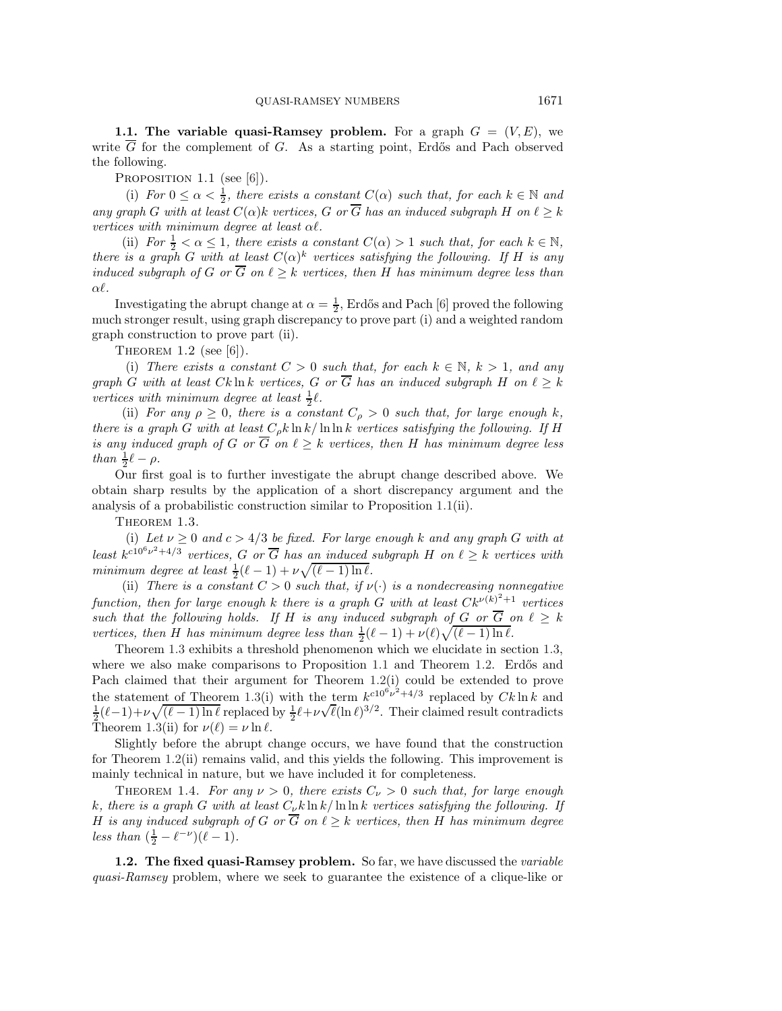**1.1. The variable quasi-Ramsey problem.** For a graph  $G = (V, E)$ , we write  $\overline{G}$  for the complement of G. As a starting point, Erdős and Pach observed the following.

<span id="page-1-0"></span>PROPOSITION  $1.1$  (see [\[6\]](#page-12-3)).

(i) *For*  $0 \leq \alpha < \frac{1}{2}$ , *there exists a constant*  $C(\alpha)$  *such that, for each*  $k \in \mathbb{N}$  *and any graph* G with at least  $C(\alpha)$ k vertices, G or  $\overline{G}$  has an induced subgraph H on  $\ell \geq k$ *vertices with minimum degree at least* α*.*

(ii) *For*  $\frac{1}{2} < \alpha \leq 1$ , there exists a constant  $C(\alpha) > 1$  such that, for each  $k \in \mathbb{N}$ , *there is a graph* G *with at least*  $C(\alpha)^k$  *vertices satisfying the following. If* H *is any induced subgraph of* G *or*  $\overline{G}$  *on*  $\ell > k$  *vertices, then* H *has minimum degree less than* α*.*

Investigating the abrupt change at  $\alpha = \frac{1}{2}$ , Erdős and Pach [\[6\]](#page-12-3) proved the following much stronger result, using graph discrepancy to prove part (i) and a weighted random graph construction to prove part (ii).

<span id="page-1-2"></span>THEOREM 1.2 (see  $[6]$ ).

(i) *There exists a constant*  $C > 0$  *such that, for each*  $k \in \mathbb{N}$ ,  $k > 1$ *, and any graph* G with at least  $Ck \ln k$  *vertices,* G *or*  $\overline{G}$  *has an induced subgraph* H *on*  $\ell \geq k$ *vertices with minimum degree at least*  $\frac{1}{2}\ell$ .

(ii) *For any*  $\rho \geq 0$ *, there is a constant*  $C_{\rho} > 0$  *such that, for large enough* k, *there is a graph* G *with at least*  $C_p k \ln k / \ln \ln k$  *vertices satisfying the following.* If H *is any induced graph of* G *or*  $\overline{G}$  *on*  $\ell \geq k$  *vertices, then* H *has minimum degree less than*  $\frac{1}{2}\ell - \rho$ *.* 

Our first goal is to further investigate the abrupt change described above. We obtain sharp results by the application of a short discrepancy argument and the analysis of a probabilistic construction similar to Proposition [1.1\(](#page-1-0)ii).

<span id="page-1-1"></span>THEOREM 1.3.

(i) Let  $\nu \geq 0$  and  $c > 4/3$  be fixed. For large enough k and any graph G with at *least*  $k^{c10^6 \nu^2 + 4/3}$  *vertices,* G *or*  $\overline{G}$  *has an induced subgraph* H *on*  $\ell \geq k$  *vertices with minimum degree at least*  $\frac{1}{2}(\ell - 1) + \nu \sqrt{(\ell - 1) \ln \ell}$ .

(ii) *There is a constant*  $C > 0$  *such that, if*  $\nu(\cdot)$  *is a nondecreasing nonnegative function, then for large enough* k *there is a graph* G *with at least*  $C_k^{\nu(k)^2+1}$  *vertices such that the following holds.* If H *is any induced subgraph of* G *or*  $\overline{G}$  *on*  $\ell \geq k$ *vertices, then H has minimum degree less than*  $\frac{1}{2}(\ell-1) + \nu(\ell)\sqrt{(\ell-1)\ln \ell}$ .

Theorem [1.3](#page-1-1) exhibits a threshold phenomenon which we elucidate in section [1.3,](#page-2-0) where we also make comparisons to Proposition  $1.1$  and Theorem  $1.2$ . Erdős and Pach claimed that their argument for Theorem [1.2\(](#page-1-2)i) could be extended to prove the statement of Theorem [1.3\(](#page-1-1)i) with the term  $k^{c10^6\nu^2+4/3}$  replaced by  $Ck \ln k$  and  $\frac{1}{2}(\ell-1)+\nu\sqrt{(\ell-1)\ln\ell}$  replaced by  $\frac{1}{2}\ell+\nu\sqrt{\ell}(\ln\ell)^{3/2}$ . Their claimed result contradicts Theorem [1.3\(](#page-1-1)ii) for  $\nu(\ell) = \nu \ln \ell$ .

Slightly before the abrupt change occurs, we have found that the construction for Theorem [1.2\(](#page-1-2)ii) remains valid, and this yields the following. This improvement is mainly technical in nature, but we have included it for completeness.

<span id="page-1-3"></span>THEOREM 1.4. *For any*  $\nu > 0$ , *there exists*  $C_{\nu} > 0$  *such that, for large enough* k, there is a graph G with at least  $C_{\nu} k \ln k / \ln \ln k$  vertices satisfying the following. If H is any induced subgraph of G or  $\overline{G}$  on  $\ell \geq k$  vertices, then H has minimum degree *less than*  $(\frac{1}{2} - \ell^{-\nu})(\ell - 1)$ *.* 

**1.2. The fixed quasi-Ramsey problem.** So far, we have discussed the *variable quasi-Ramsey* problem, where we seek to guarantee the existence of a clique-like or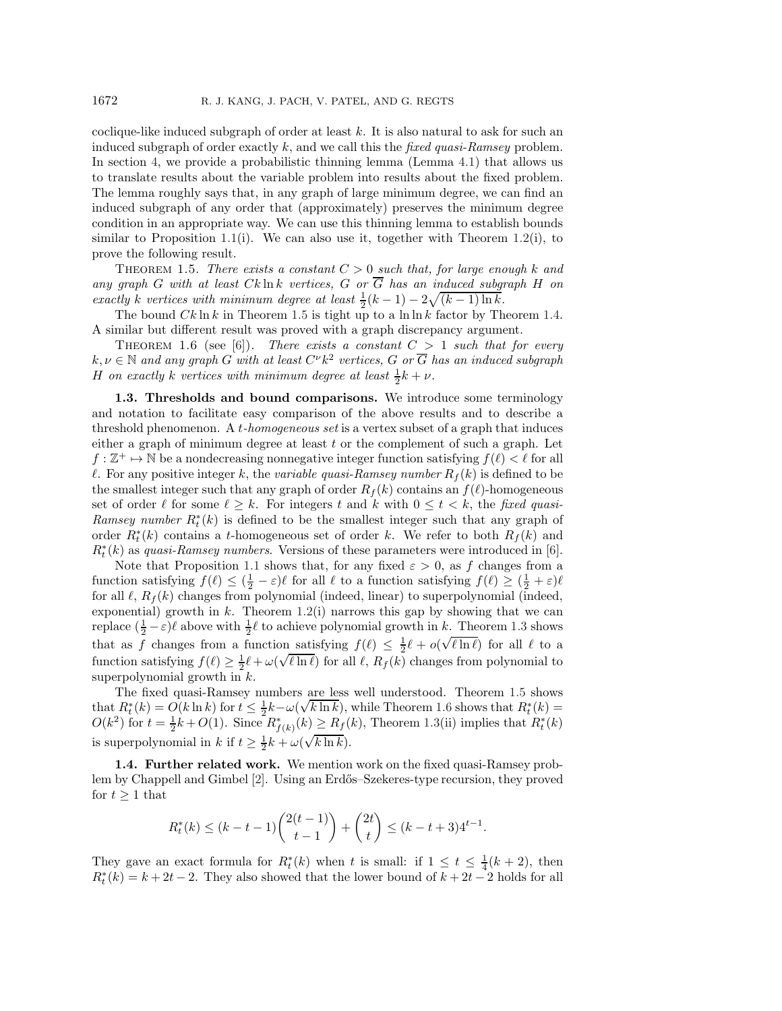coclique-like induced subgraph of order at least k. It is also natural to ask for such an induced subgraph of order exactly k, and we call this the *fixed quasi-Ramsey* problem. In section [4,](#page-6-0) we provide a probabilistic thinning lemma (Lemma [4.1\)](#page-6-1) that allows us to translate results about the variable problem into results about the fixed problem. The lemma roughly says that, in any graph of large minimum degree, we can find an induced subgraph of any order that (approximately) preserves the minimum degree condition in an appropriate way. We can use this thinning lemma to establish bounds similar to Proposition [1.1\(](#page-1-0)i). We can also use it, together with Theorem [1.2\(](#page-1-2)i), to prove the following result.

<span id="page-2-1"></span>THEOREM 1.5. *There exists a constant*  $C > 0$  *such that, for large enough* k and *any graph* G with at least  $Ck \ln k$  vertices, G or  $\overline{G}$  has an induced subgraph H on *exactly* k *vertices with minimum degree at least*  $\frac{1}{2}(k-1) - 2\sqrt{(k-1)\ln k}$ .

The bound  $Ck \ln k$  in Theorem [1.5](#page-2-1) is tight up to a  $\ln \ln k$  factor by Theorem [1.4.](#page-1-3) A similar but different result was proved with a graph discrepancy argument.

<span id="page-2-2"></span>THEOREM 1.6 (see [\[6\]](#page-12-3)). *There exists a constant*  $C > 1$  *such that for every*  $k, \nu \in \mathbb{N}$  and any graph G with at least  $C^{\nu}k^2$  vertices, G or  $\overline{G}$  has an induced subgraph H on exactly k vertices with minimum degree at least  $\frac{1}{2}k + \nu$ .

<span id="page-2-0"></span>**1.3. Thresholds and bound comparisons.** We introduce some terminology and notation to facilitate easy comparison of the above results and to describe a threshold phenomenon. A t*-homogeneous set* is a vertex subset of a graph that induces either a graph of minimum degree at least  $t$  or the complement of such a graph. Let  $f : \mathbb{Z}^+ \to \mathbb{N}$  be a nondecreasing nonnegative integer function satisfying  $f(\ell) < \ell$  for all  $\ell$ . For any positive integer k, the *variable quasi-Ramsey number*  $R_f(k)$  is defined to be the smallest integer such that any graph of order  $R_f(k)$  contains an  $f(\ell)$ -homogeneous set of order  $\ell$  for some  $\ell \geq k$ . For integers t and k with  $0 \leq t < k$ , the fixed quasi-*Ramsey number*  $R_t^*(k)$  is defined to be the smallest integer such that any graph of order  $R^*(k)$  contains a t homogeneous set of order  $k$ . We refer to both  $R_+(k)$  and order  $R_t^*(k)$  contains a t-homogeneous set of order k. We refer to both  $R_f(k)$  and  $R_f(k)$  as guasi Barneau numbers. Vorsions of those parameters were introduced in [6]  $R_t^*(k)$  as *quasi-Ramsey numbers*. Versions of these parameters were introduced in [\[6\]](#page-12-3).<br>Note that Proposition 1.1 shows that for any fixed  $\epsilon > 0$ , as f shapes from a

Note that Proposition [1.1](#page-1-0) shows that, for any fixed  $\varepsilon > 0$ , as f changes from a function satisfying  $f(\ell) \leq (\frac{1}{2} - \varepsilon)\ell$  for all  $\ell$  to a function satisfying  $f(\ell) \geq (\frac{1}{2} + \varepsilon)\ell$ for all  $\ell$ ,  $R_f(k)$  changes from polynomial (indeed, linear) to superpolynomial (indeed, exponential) growth in  $k$ . Theorem [1.2\(](#page-1-2)i) narrows this gap by showing that we can replace  $(\frac{1}{2} - \varepsilon)\ell$  above with  $\frac{1}{2}\ell$  to achieve polynomial growth in k. Theorem [1.3](#page-1-1) shows that as f changes from a function satisfying  $f(\ell) \leq \frac{1}{2}\ell + o(\sqrt{\ell \ln \ell})$  for all  $\ell$  to a function satisfying  $f(\ell) \geq \frac{1}{2}\ell + \omega(\sqrt{\ell \ln \ell})$  for all  $\ell$ ,  $R_f(k)$  changes from polynomial to superpolynomial growth in  $k$ .

The fixed quasi-Ramsey numbers are less well understood. Theorem [1.5](#page-2-1) shows that  $R_t^*(k) = O(k \ln k)$  for  $t \leq \frac{1}{2}k - \omega(\sqrt{k \ln k})$ , while Theorem [1.6](#page-2-2) shows that  $R_t^*(k) = O(k^2)$  for  $t = \frac{1}{k} + O(1)$ . Since  $R^*$ ,  $(k) > R_s(k)$ . Theorem 1.3(ii) implies that  $R^*(k)$  $O(k^2)$  for  $t = \frac{1}{2}k + O(1)$ . Since  $R^*_{f(k)}(k) \ge R_f(k)$ , Theorem [1.3\(](#page-1-1)ii) implies that  $R_t^*(k)$ is superpolynomial in  $k$  if  $t \geq \frac{1}{2}k + \omega(\sqrt{k \ln k})$ .

**1.4. Further related work.** We mention work on the fixed quasi-Ramsey prob-lem by Chappell and Gimbel [\[2\]](#page-12-4). Using an Erdős–Szekeres-type recursion, they proved for  $t \geq 1$  that

$$
R_t^*(k) \le (k-t-1) \binom{2(t-1)}{t-1} + \binom{2t}{t} \le (k-t+3)4^{t-1}.
$$

They gave an exact formula for  $R_t^*(k)$  when t is small: if  $1 \le t \le \frac{1}{4}(k+2)$ , then  $R^*(k) = k+2t-2$ . They also showed that the lower bound of  $k+2t-2$  holds for all  $R_t^*(k) = k + 2t - 2$ . They also showed that the lower bound of  $k + 2t - 2$  holds for all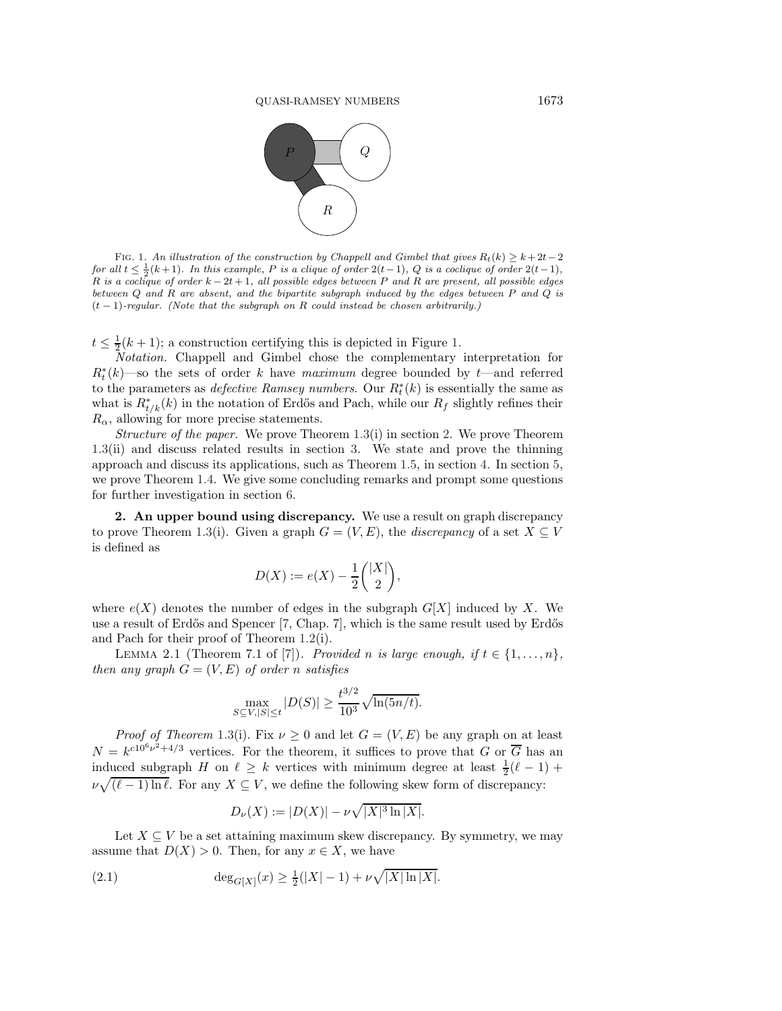

<span id="page-3-0"></span>FIG. 1. An illustration of the construction by Chappell and Gimbel that gives  $R_t(k) \geq k + 2t-2$ *for all*  $t \leq \frac{1}{2}(k+1)$ *. In this example,* P *is a clique of order*  $2(t-1)$ *,* Q *is a coclique of order*  $2(t-1)$ *,* R *is a coclique of order* k − 2t + 1*, all possible edges between* P *and* R *are present, all possible edges between* Q *and* R *are absent, and the bipartite subgraph induced by the edges between* P *and* Q *is* (t − 1)*-regular. (Note that the subgraph on* R *could instead be chosen arbitrarily.)*

 $t \leq \frac{1}{2}(k+1)$ ; a construction certifying this is depicted in Figure [1.](#page-3-0)

*Notation.* Chappell and Gimbel chose the complementary interpretation for  $R_t^*(k)$ —so the sets of order k have *maximum* degree bounded by t—and referred to the parameters as *defective Ramsey numbers*. Our  $R_t^*(k)$  is essentially the same as what is  $R^*$ , (k) in the notation of Erdős and Pash, while our  $R_s$  slightly refines their what is  $R_{t/k}^*(k)$  in the notation of Erdős and Pach, while our  $R_f$  slightly refines their  $R_{t}$  allowing for more precise statements  $R_{\alpha}$ , allowing for more precise statements.

*Structure of the paper.* We prove Theorem [1.3\(](#page-1-1)i) in section [2.](#page-3-1) We prove Theorem [1.3\(](#page-1-1)ii) and discuss related results in section [3.](#page-4-0) We state and prove the thinning approach and discuss its applications, such as Theorem [1.5,](#page-2-1) in section [4.](#page-6-0) In section [5,](#page-8-0) we prove Theorem [1.4.](#page-1-3) We give some concluding remarks and prompt some questions for further investigation in section [6.](#page-11-0)

<span id="page-3-1"></span>**2. An upper bound using discrepancy.** We use a result on graph discrepancy to prove Theorem [1.3\(](#page-1-1)i). Given a graph  $G = (V, E)$ , the *discrepancy* of a set  $X \subseteq V$ is defined as

<span id="page-3-3"></span>
$$
D(X) := e(X) - \frac{1}{2} \binom{|X|}{2},
$$

where  $e(X)$  denotes the number of edges in the subgraph  $G[X]$  induced by X. We use a result of Erdős and Spencer [\[7,](#page-12-5) Chap. 7], which is the same result used by Erdős and Pach for their proof of Theorem [1.2\(](#page-1-2)i).

LEMMA 2.1 (Theorem 7.1 of [\[7\]](#page-12-5)). *Provided* n is large enough, if  $t \in \{1, \ldots, n\}$ , *then any graph*  $G = (V, E)$  *of order n satisfies* 

$$
\max_{S \subseteq V, |S| \le t} |D(S)| \ge \frac{t^{3/2}}{10^3} \sqrt{\ln(5n/t)}.
$$

*Proof of Theorem* [1.3\(](#page-1-1)i). Fix  $\nu \geq 0$  and let  $G = (V, E)$  be any graph on at least  $N = k^{c10^6 \nu^2 + 4/3}$  vertices. For the theorem, it suffices to prove that G or  $\overline{G}$  has an induced subgraph H on  $\ell \geq k$  vertices with minimum degree at least  $\frac{1}{2}(\ell - 1)$  +  $\nu \sqrt{(\ell-1)\ln \ell}$ . For any  $X \subseteq V$ , we define the following skew form of discrepancy:

<span id="page-3-2"></span>
$$
D_{\nu}(X) := |D(X)| - \nu \sqrt{|X|^3 \ln |X|}.
$$

Let  $X \subseteq V$  be a set attaining maximum skew discrepancy. By symmetry, we may assume that  $D(X) > 0$ . Then, for any  $x \in X$ , we have

(2.1) 
$$
\deg_{G[X]}(x) \ge \frac{1}{2}(|X|-1) + \nu \sqrt{|X| \ln |X|}.
$$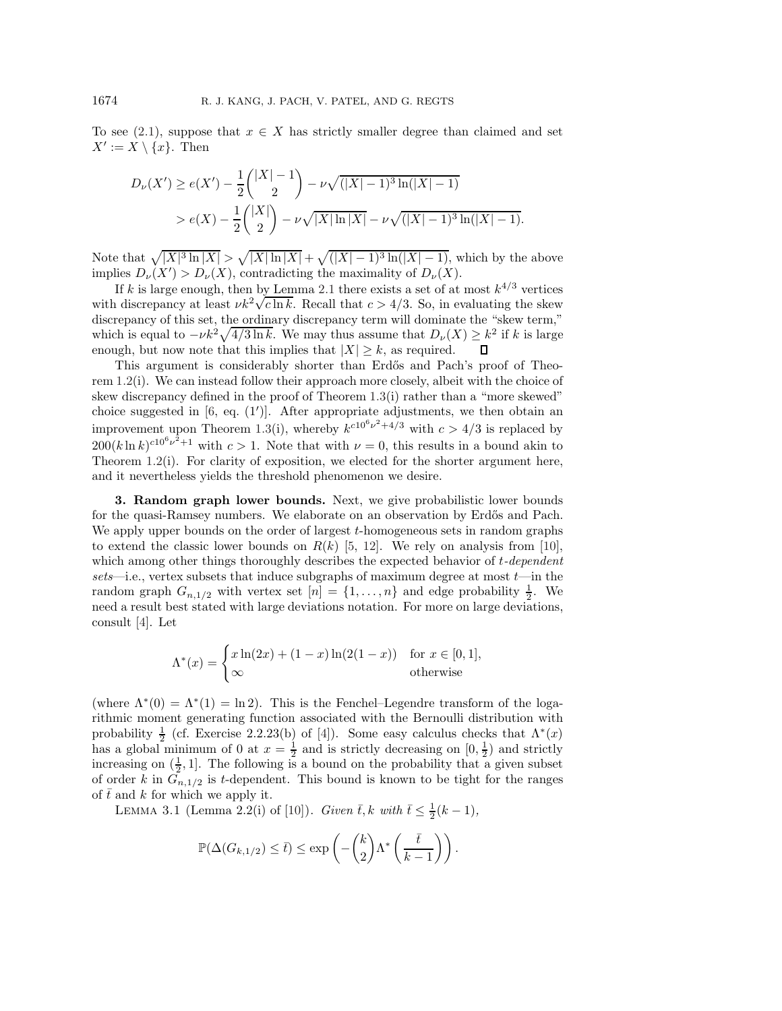To see [\(2.1\)](#page-3-2), suppose that  $x \in X$  has strictly smaller degree than claimed and set  $X' := X \setminus \{x\}.$  Then

$$
D_{\nu}(X') \ge e(X') - \frac{1}{2} \binom{|X| - 1}{2} - \nu \sqrt{(|X| - 1)^3 \ln(|X| - 1)}
$$
  
>  $e(X) - \frac{1}{2} \binom{|X|}{2} - \nu \sqrt{|X| \ln |X|} - \nu \sqrt{(|X| - 1)^3 \ln(|X| - 1)}.$ 

Note that  $\sqrt{|X|^3 \ln |X|} > \sqrt{|X| \ln |X|} + \sqrt{(|X| - 1)^3 \ln(|X| - 1)}$ , which by the above implies  $D_{\nu}(X') > D_{\nu}(X)$ , contradicting the maximality of  $D_{\nu}(X)$ .

If k is large enough, then by Lemma [2.1](#page-3-3) there exists a set of at most  $k^{4/3}$  vertices with discrepancy at least  $\nu k^2 \sqrt{c \ln k}$ . Recall that  $c > 4/3$ . So, in evaluating the skew discrepancy of this set, the ordinary discrepancy term will dominate the "skew term," which is equal to  $-\nu k^2 \sqrt{4/3 \ln k}$ . We may thus assume that  $D_{\nu}(X) \geq k^2$  if k is large enough, but now note that this implies that  $|X| \geq k$ , as required.

This argument is considerably shorter than Erdős and Pach's proof of Theorem [1.2\(](#page-1-2)i). We can instead follow their approach more closely, albeit with the choice of skew discrepancy defined in the proof of Theorem [1.3\(](#page-1-1)i) rather than a "more skewed" choice suggested in  $[6, \text{ eq. } (1')]$  $[6, \text{ eq. } (1')]$ . After appropriate adjustments, we then obtain an improvement upon Theorem [1.3\(](#page-1-1)i), whereby  $k^{c10^6\nu^2+4/3}$  with  $c > 4/3$  is replaced by  $200(k \ln k)^{c10^6 \nu^2 + 1}$  with  $c > 1$ . Note that with  $\nu = 0$ , this results in a bound akin to Theorem  $1.2(i)$  $1.2(i)$ . For clarity of exposition, we elected for the shorter argument here, and it nevertheless yields the threshold phenomenon we desire.

<span id="page-4-0"></span>**3. Random graph lower bounds.** Next, we give probabilistic lower bounds for the quasi-Ramsey numbers. We elaborate on an observation by Erdős and Pach. We apply upper bounds on the order of largest t-homogeneous sets in random graphs to extend the classic lower bounds on  $R(k)$  [\[5,](#page-12-1) [12\]](#page-12-6). We rely on analysis from [\[10\]](#page-12-7), which among other things thoroughly describes the expected behavior of t*-dependent sets*—i.e., vertex subsets that induce subgraphs of maximum degree at most t—in the random graph  $G_{n,1/2}$  with vertex set  $[n] = \{1, \ldots, n\}$  and edge probability  $\frac{1}{2}$ . We need a result best stated with large deviations notation. For more on large deviations, consult [\[4\]](#page-12-8). Let

$$
\Lambda^*(x) = \begin{cases} x\ln(2x) + (1-x)\ln(2(1-x)) & \text{for } x \in [0,1], \\ \infty & \text{otherwise} \end{cases}
$$

(where  $\Lambda^*(0) = \Lambda^*(1) = \ln 2$ ). This is the Fenchel–Legendre transform of the logarithmic moment generating function associated with the Bernoulli distribution with probability  $\frac{1}{2}$  (cf. Exercise 2.2.23(b) of [\[4\]](#page-12-8)). Some easy calculus checks that  $\Lambda^*(x)$ has a global minimum of 0 at  $x = \frac{1}{2}$  and is strictly decreasing on  $[0, \frac{1}{2})$  and strictly increasing on  $(\frac{1}{2}, 1]$ . The following is a bound on the probability that a given subset of order k in  $\tilde{G}_{n,1/2}$  is t-dependent. This bound is known to be tight for the ranges of  $\bar{t}$  and k for which we apply it.

<span id="page-4-1"></span>LEMMA 3.1 (Lemma 2.2(i) of [\[10\]](#page-12-7)). *Given*  $\bar{t}$ , k with  $\bar{t} \leq \frac{1}{2}(k-1)$ ,

$$
\mathbb{P}(\Delta(G_{k,1/2}) \leq \overline{t}) \leq \exp\left(-\binom{k}{2}\Lambda^*\left(\frac{\overline{t}}{k-1}\right)\right).
$$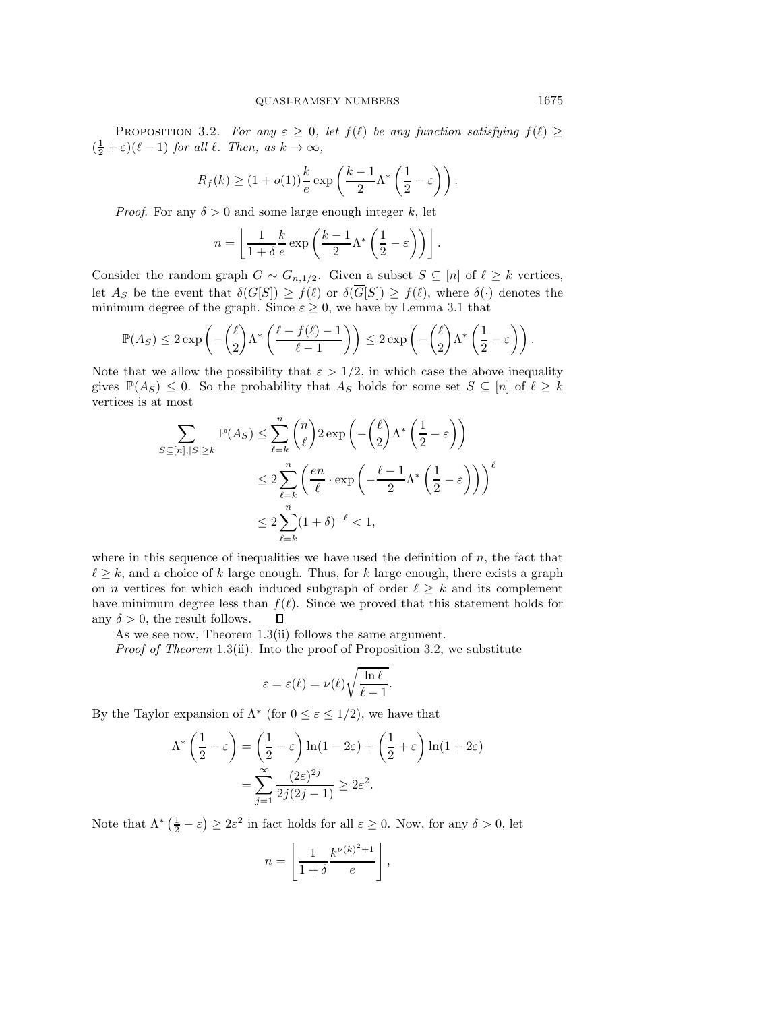<span id="page-5-0"></span>**PROPOSITION** 3.2. *For any*  $\varepsilon \geq 0$ , *let*  $f(\ell)$  *be any function satisfying*  $f(\ell) \geq$  $(\frac{1}{2} + \varepsilon)(\ell - 1)$  *for all*  $\ell$ *. Then, as*  $k \to \infty$ *,* 

$$
R_f(k) \ge (1 + o(1))\frac{k}{e} \exp\left(\frac{k-1}{2}\Lambda^*\left(\frac{1}{2} - \varepsilon\right)\right).
$$

*Proof.* For any  $\delta > 0$  and some large enough integer k, let

$$
n = \left\lfloor \frac{1}{1+\delta} \frac{k}{e} \exp\left(\frac{k-1}{2} \Lambda^* \left(\frac{1}{2} - \varepsilon\right)\right) \right\rfloor.
$$

Consider the random graph  $G \sim G_{n,1/2}$ . Given a subset  $S \subseteq [n]$  of  $\ell \geq k$  vertices, let  $A_S$  be the event that  $\delta(G[S]) \geq f(\ell)$  or  $\delta(\overline{G}[S]) \geq f(\ell)$ , where  $\delta(\cdot)$  denotes the minimum degree of the graph. Since  $\varepsilon \geq 0$ , we have by Lemma [3.1](#page-4-1) that

$$
\mathbb{P}(A_S) \leq 2 \exp\left(-\binom{\ell}{2} \Lambda^* \left(\frac{\ell - f(\ell) - 1}{\ell - 1}\right)\right) \leq 2 \exp\left(-\binom{\ell}{2} \Lambda^* \left(\frac{1}{2} - \varepsilon\right)\right).
$$

Note that we allow the possibility that  $\varepsilon > 1/2$ , in which case the above inequality gives  $\mathbb{P}(A_S) \leq 0$ . So the probability that  $A_S$  holds for some set  $S \subseteq [n]$  of  $\ell \geq k$ vertices is at most

$$
\sum_{S \subseteq [n], |S| \ge k} \mathbb{P}(A_S) \le \sum_{\ell=k}^n \binom{n}{\ell} 2 \exp\left(-\binom{\ell}{2} \Lambda^* \left(\frac{1}{2} - \varepsilon\right)\right)
$$
  

$$
\le 2 \sum_{\ell=k}^n \left(\frac{en}{\ell} \cdot \exp\left(-\frac{\ell - 1}{2} \Lambda^* \left(\frac{1}{2} - \varepsilon\right)\right)\right)^{\ell}
$$
  

$$
\le 2 \sum_{\ell=k}^n (1 + \delta)^{-\ell} < 1,
$$

where in this sequence of inequalities we have used the definition of  $n$ , the fact that  $\ell \geq k$ , and a choice of k large enough. Thus, for k large enough, there exists a graph on *n* vertices for which each induced subgraph of order  $\ell \geq k$  and its complement have minimum degree less than  $f(\ell)$ . Since we proved that this statement holds for  $\Box$ any  $\delta > 0$ , the result follows.

As we see now, Theorem [1.3\(](#page-1-1)ii) follows the same argument.

*Proof of Theorem* [1.3\(](#page-1-1)ii). Into the proof of Proposition [3.2,](#page-5-0) we substitute

$$
\varepsilon = \varepsilon(\ell) = \nu(\ell) \sqrt{\frac{\ln \ell}{\ell - 1}}.
$$

By the Taylor expansion of  $\Lambda^*$  (for  $0 \leq \varepsilon \leq 1/2$ ), we have that

$$
\Lambda^* \left( \frac{1}{2} - \varepsilon \right) = \left( \frac{1}{2} - \varepsilon \right) \ln(1 - 2\varepsilon) + \left( \frac{1}{2} + \varepsilon \right) \ln(1 + 2\varepsilon)
$$

$$
= \sum_{j=1}^{\infty} \frac{(2\varepsilon)^{2j}}{2j(2j - 1)} \ge 2\varepsilon^2.
$$

Note that  $\Lambda^*$   $(\frac{1}{2} - \varepsilon) \geq 2\varepsilon^2$  in fact holds for all  $\varepsilon \geq 0$ . Now, for any  $\delta > 0$ , let

$$
n = \left\lfloor \frac{1}{1+\delta} \frac{k^{\nu(k)^2 + 1}}{e} \right\rfloor
$$

,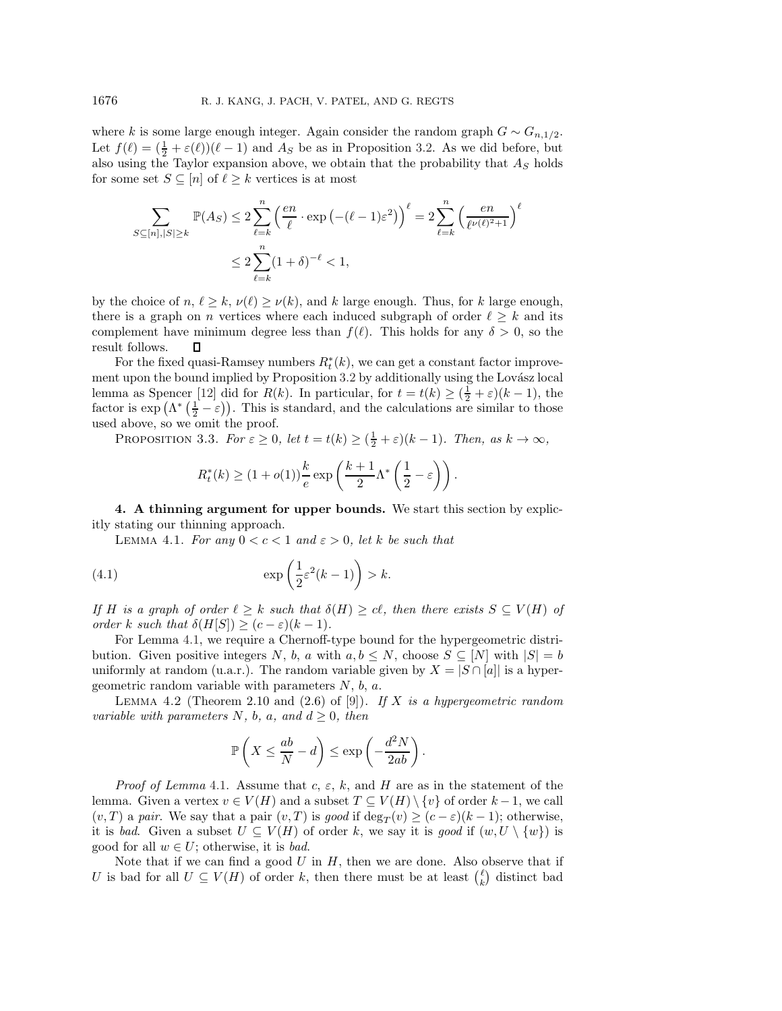where k is some large enough integer. Again consider the random graph  $G \sim G_{n,1/2}$ . Let  $f(\ell) = (\frac{1}{2} + \varepsilon(\ell))(\ell - 1)$  and  $A_S$  be as in Proposition [3.2.](#page-5-0) As we did before, but also using the Taylor expansion above, we obtain that the probability that  $A<sub>S</sub>$  holds for some set  $S \subseteq [n]$  of  $\ell \geq k$  vertices is at most

$$
\sum_{S \subseteq [n], |S| \ge k} \mathbb{P}(A_S) \le 2 \sum_{\ell=k}^n \left(\frac{en}{\ell} \cdot \exp\left(-(\ell-1)\varepsilon^2\right)\right)^{\ell} = 2 \sum_{\ell=k}^n \left(\frac{en}{\ell^{\nu(\ell)^2+1}}\right)^{\ell}
$$

$$
\le 2 \sum_{\ell=k}^n (1+\delta)^{-\ell} < 1,
$$

by the choice of  $n, \ell \geq k, \nu(\ell) \geq \nu(k)$ , and k large enough. Thus, for k large enough, there is a graph on n vertices where each induced subgraph of order  $\ell \geq k$  and its complement have minimum degree less than  $f(\ell)$ . This holds for any  $\delta > 0$ , so the result follows.  $\Box$ 

For the fixed quasi-Ramsey numbers  $R_t^*(k)$ , we can get a constant factor improve-<br>t upon the bound implied by Proposition 3.2 by additionally using the Lovész local ment upon the bound implied by Proposition [3.2](#page-5-0) by additionally using the Lovász local lemma as Spencer [\[12\]](#page-12-6) did for  $R(k)$ . In particular, for  $t = t(k) \geq (\frac{1}{2} + \varepsilon)(k-1)$ , the factor is  $\exp\left(\Lambda^*\left(\frac{1}{2}-\varepsilon\right)\right)$ . This is standard, and the calculations are similar to those used above, so we omit the proof.

<span id="page-6-4"></span>PROPOSITION 3.3. *For*  $\varepsilon \geq 0$ , *let*  $t = t(k) \geq (\frac{1}{2} + \varepsilon)(k-1)$ *. Then, as*  $k \to \infty$ *,* 

$$
R_t^*(k) \ge (1 + o(1)) \frac{k}{e} \exp\left(\frac{k+1}{2} \Lambda^*\left(\frac{1}{2} - \varepsilon\right)\right).
$$

<span id="page-6-1"></span><span id="page-6-0"></span>**4. A thinning argument for upper bounds.** We start this section by explicitly stating our thinning approach.

LEMMA 4.1. *For any*  $0 < c < 1$  *and*  $\varepsilon > 0$ *, let* k *be such that* 

<span id="page-6-3"></span>(4.1) 
$$
\exp\left(\frac{1}{2}\varepsilon^2(k-1)\right) > k.
$$

*If* H is a graph of order  $\ell \geq k$  such that  $\delta(H) \geq c\ell$ , then there exists  $S \subseteq V(H)$  of *order* k *such that*  $\delta(H[S]) \geq (c - \varepsilon)(k - 1)$ *.* 

For Lemma [4.1,](#page-6-1) we require a Chernoff-type bound for the hypergeometric distribution. Given positive integers N, b, a with  $a, b \leq N$ , choose  $S \subseteq [N]$  with  $|S| = b$ uniformly at random (u.a.r.). The random variable given by  $X = |S \cap [a]|$  is a hypergeometric random variable with parameters  $N$ ,  $b$ ,  $a$ .

<span id="page-6-2"></span>Lemma 4.2 (Theorem 2.10 and (2.6) of [\[9\]](#page-12-9)). *If* X *is a hypergeometric random variable with parameters*  $N$ *, b, a, and*  $d \geq 0$ *, then* 

$$
\mathbb{P}\left(X \leq \frac{ab}{N} - d\right) \leq \exp\left(-\frac{d^2N}{2ab}\right).
$$

*Proof of Lemma* [4.1.](#page-6-1) Assume that c,  $\varepsilon$ , k, and H are as in the statement of the lemma. Given a vertex  $v \in V(H)$  and a subset  $T \subseteq V(H) \setminus \{v\}$  of order  $k-1$ , we call  $(v, T)$  a *pair*. We say that a pair  $(v, T)$  is good if deg<sub>T</sub> $(v) \ge (c - \varepsilon)(k - 1)$ ; otherwise,<br>it is had Civen a subset  $U \subset V(H)$  of order k, we say it is eased if  $(w, U \setminus \{w\})$  is it is *bad*. Given a subset  $U \subseteq V(H)$  of order k, we say it is good if  $(w, U \setminus \{w\})$  is good for all  $w \in U$ ; otherwise, it is *bad*.

Note that if we can find a good  $U$  in  $H$ , then we are done. Also observe that if U is bad for all  $U \subseteq V(H)$  of order k, then there must be at least  $\binom{l}{k}$  distinct bad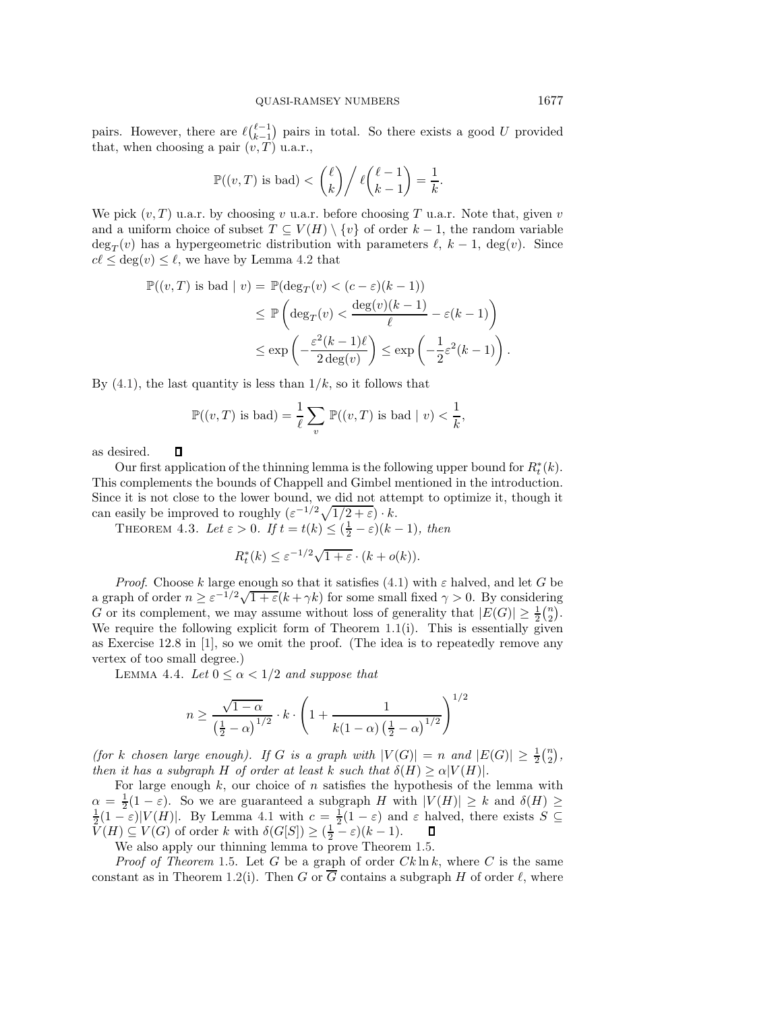pairs. However, there are  $\ell \binom{\ell-1}{k-1}$  pairs in total. So there exists a good U provided pairs. However, there are  $\epsilon_{k-1}$  pairs<br>that, when choosing a pair  $(v, T)$  u.a.r.,

$$
\mathbb{P}((v,T) \text{ is bad}) < {\ell \choose k} / {\ell \binom{\ell-1}{k-1}} = \frac{1}{k}.
$$

We pick  $(v, T)$  u.a.r. by choosing v u.a.r. before choosing T u.a.r. Note that, given v and a uniform choice of subset  $T \subseteq V(H) \setminus \{v\}$  of order  $k-1$ , the random variable  $\deg_T(v)$  has a hypergeometric distribution with parameters  $\ell$ ,  $k - 1$ ,  $\deg(v)$ . Since  $c\ell \leq \deg(v) \leq \ell$ , we have by Lemma [4.2](#page-6-2) that

$$
\mathbb{P}((v,T) \text{ is bad } | v) = \mathbb{P}(\deg_T(v) < (c-\varepsilon)(k-1))
$$
\n
$$
\leq \mathbb{P}\left(\deg_T(v) < \frac{\deg(v)(k-1)}{\ell} - \varepsilon(k-1)\right)
$$
\n
$$
\leq \exp\left(-\frac{\varepsilon^2(k-1)\ell}{2\deg(v)}\right) \leq \exp\left(-\frac{1}{2}\varepsilon^2(k-1)\right).
$$

By  $(4.1)$ , the last quantity is less than  $1/k$ , so it follows that

$$
\mathbb{P}((v,T) \text{ is bad}) = \frac{1}{\ell} \sum_{v} \mathbb{P}((v,T) \text{ is bad} \mid v) < \frac{1}{k}
$$

,

as desired.

П

Our first application of the thinning lemma is the following upper bound for  $R_t^*(k)$ . This complements the bounds of Chappell and Gimbel mentioned in the introduction. Since it is not close to the lower bound, we did not attempt to optimize it, though it can easily be improved to roughly  $(\varepsilon^{-1/2}\sqrt{1/2+\varepsilon}) \cdot k$ .

<span id="page-7-0"></span>THEOREM 4.3. Let  $\varepsilon > 0$ . If  $t = t(k) \leq (\frac{1}{2} - \varepsilon)(k - 1)$ , then

$$
R_t^*(k) \le \varepsilon^{-1/2} \sqrt{1+\varepsilon} \cdot (k + o(k)).
$$

*Proof.* Choose k large enough so that it satisfies [\(4.1\)](#page-6-3) with  $\varepsilon$  halved, and let G be a graph of order  $n \geq \varepsilon^{-1/2} \sqrt{1+\varepsilon}(k+\gamma k)$  for some small fixed  $\gamma > 0$ . By considering G or its complement, we may assume without loss of generality that  $|E(G)| \geq \frac{1}{2} {n \choose 2}$ . We require the following explicit form of Theorem  $1.1(i)$  $1.1(i)$ . This is essentially given as Exercise 12.8 in [\[1\]](#page-12-10), so we omit the proof. (The idea is to repeatedly remove any vertex of too small degree.)

LEMMA 4.4. Let  $0 \leq \alpha < 1/2$  and suppose that

$$
n \ge \frac{\sqrt{1-\alpha}}{\left(\frac{1}{2}-\alpha\right)^{1/2}} \cdot k \cdot \left(1 + \frac{1}{k(1-\alpha)\left(\frac{1}{2}-\alpha\right)^{1/2}}\right)^{1/2}
$$

*(for k chosen large enough). If G is a graph with*  $|V(G)| = n$  *and*  $|E(G)| \geq \frac{1}{2} {n \choose 2}$ , *then it has a subgraph* H *of order at least* k *such that*  $\delta(H) \ge \alpha |V(H)|$ *.* 

For large enough  $k$ , our choice of n satisfies the hypothesis of the lemma with  $\alpha = \frac{1}{2}(1-\varepsilon)$ . So we are guaranteed a subgraph H with  $|V(H)| \geq k$  and  $\delta(H) \geq$  $\frac{1}{2}(1-\varepsilon)|V(H)|$ . By Lemma [4.1](#page-6-1) with  $c=\frac{1}{2}(1-\varepsilon)$  and  $\varepsilon$  halved, there exists  $S\subseteq$  $\tilde{V}(H) \subseteq V(G)$  of order k with  $\delta(G[S]) \geq (\frac{1}{2} - \varepsilon)(k-1)$ .

We also apply our thinning lemma to prove Theorem [1.5.](#page-2-1)

*Proof of Theorem* [1.5.](#page-2-1) Let G be a graph of order  $Ck \ln k$ , where C is the same constant as in Theorem [1.2\(](#page-1-2)i). Then G or  $\overline{G}$  contains a subgraph H of order  $\ell$ , where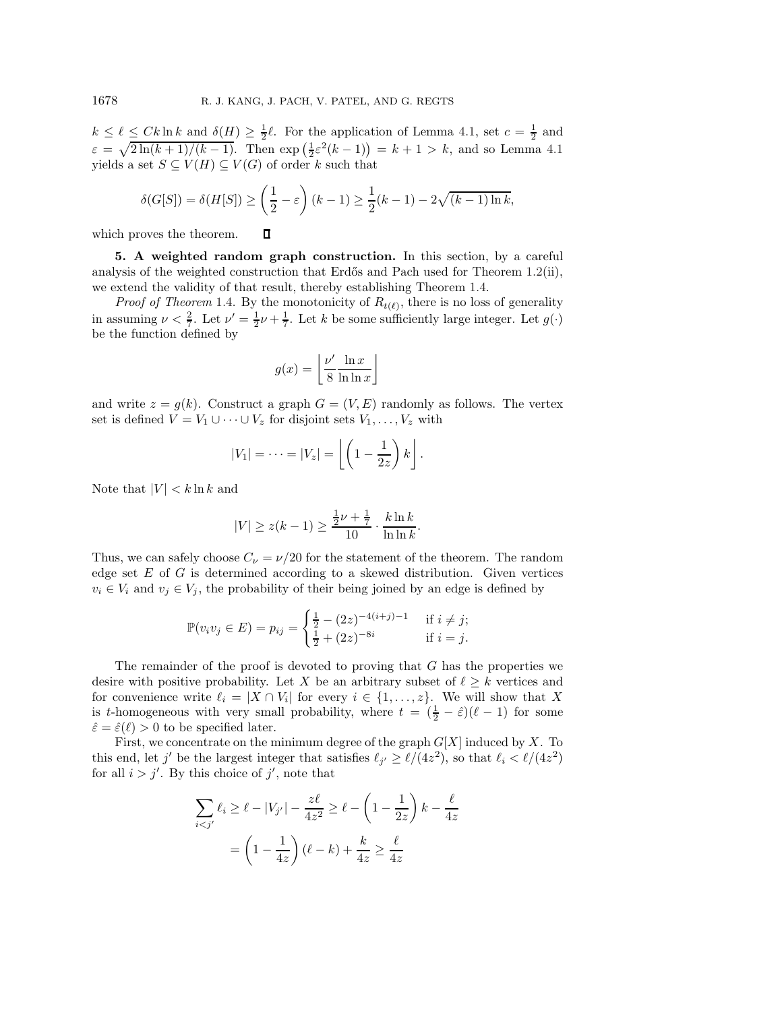$k \leq \ell \leq Ck \ln k$  and  $\delta(H) \geq \frac{1}{2}\ell$ . For the application of Lemma [4.1,](#page-6-1) set  $c = \frac{1}{2}$  and  $\varepsilon = \sqrt{2\ln(k+1)/(k-1)}$ . Then  $\exp\left(\frac{1}{2}\varepsilon^2(k-1)\right) = k+1 > k$ , and so Lemma [4.1](#page-6-1) yields a set  $S \subseteq V(H) \subseteq V(G)$  of order k such that

$$
\delta(G[S]) = \delta(H[S]) \ge \left(\frac{1}{2} - \varepsilon\right)(k-1) \ge \frac{1}{2}(k-1) - 2\sqrt{(k-1)\ln k},
$$

<span id="page-8-0"></span>which proves the theorem.  $\Box$ 

**5. A weighted random graph construction.** In this section, by a careful analysis of the weighted construction that Erdős and Pach used for Theorem  $1.2(i)$  $1.2(i)$ , we extend the validity of that result, thereby establishing Theorem [1.4.](#page-1-3)

*Proof of Theorem* [1.4.](#page-1-3) By the monotonicity of  $R_{t(\ell)}$ , there is no loss of generality in assuming  $\nu < \frac{2}{7}$ . Let  $\nu' = \frac{1}{2}\nu + \frac{1}{7}$ . Let k be some sufficiently large integer. Let  $g(\cdot)$ be the function defined by

$$
g(x) = \left\lfloor \frac{\nu'}{8} \frac{\ln x}{\ln \ln x} \right\rfloor
$$

and write  $z = g(k)$ . Construct a graph  $G = (V, E)$  randomly as follows. The vertex set is defined  $V = V_1 \cup \cdots \cup V_z$  for disjoint sets  $V_1, \ldots, V_z$  with

$$
|V_1| = \cdots = |V_z| = \left\lfloor \left(1 - \frac{1}{2z}\right)k\right\rfloor.
$$

Note that  $|V| < k \ln k$  and

$$
|V| \ge z(k-1) \ge \frac{\frac{1}{2}\nu + \frac{1}{7}}{10} \cdot \frac{k \ln k}{\ln \ln k}.
$$

Thus, we can safely choose  $C_{\nu} = \nu/20$  for the statement of the theorem. The random edge set  $E$  of  $G$  is determined according to a skewed distribution. Given vertices  $v_i \in V_i$  and  $v_j \in V_j$ , the probability of their being joined by an edge is defined by

$$
\mathbb{P}(v_i v_j \in E) = p_{ij} = \begin{cases} \frac{1}{2} - (2z)^{-4(i+j)-1} & \text{if } i \neq j; \\ \frac{1}{2} + (2z)^{-8i} & \text{if } i = j. \end{cases}
$$

The remainder of the proof is devoted to proving that  $G$  has the properties we desire with positive probability. Let X be an arbitrary subset of  $\ell \geq k$  vertices and for convenience write  $\ell_i = |X \cap V_i|$  for every  $i \in \{1, ..., z\}$ . We will show that X is t-homogeneous with very small probability, where  $t = (\frac{1}{2} - \hat{\varepsilon})(\ell - 1)$  for some  $\hat{\varepsilon} = \hat{\varepsilon}(\ell) > 0$  to be specified later.

First, we concentrate on the minimum degree of the graph  $G[X]$  induced by X. To this end, let j' be the largest integer that satisfies  $\ell_{j'} \ge \ell/(4z^2)$ , so that  $\ell_i < \ell/(4z^2)$ for all  $i > j'$ . By this choice of  $j'$ , note that

$$
\sum_{i < j'} \ell_i \ge \ell - |V_{j'}| - \frac{z\ell}{4z^2} \ge \ell - \left(1 - \frac{1}{2z}\right)k - \frac{\ell}{4z}
$$
\n
$$
= \left(1 - \frac{1}{4z}\right)(\ell - k) + \frac{k}{4z} \ge \frac{\ell}{4z}
$$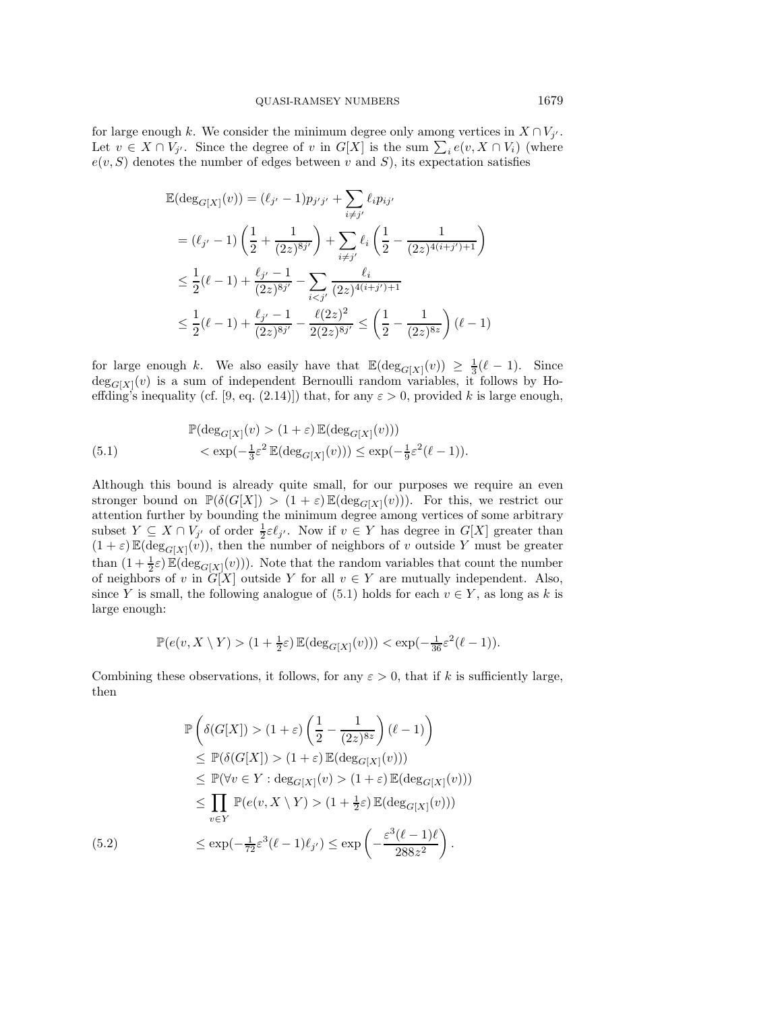for large enough k. We consider the minimum degree only among vertices in  $X \cap V_j$ . Let  $v \in X \cap V_{j'}$ . Since the degree of v in  $G[X]$  is the sum  $\sum_i e(v, X \cap V_i)$  (where  $e(v, S)$  denotes the number of edges between v and S) its expectation satisfies  $e(v, S)$  denotes the number of edges between v and S), its expectation satisfies

$$
\mathbb{E}(\deg_{G[X]}(v)) = (\ell_{j'} - 1)p_{j'j'} + \sum_{i \neq j'} \ell_i p_{ij'}
$$
\n
$$
= (\ell_{j'} - 1) \left( \frac{1}{2} + \frac{1}{(2z)^{8j'}} \right) + \sum_{i \neq j'} \ell_i \left( \frac{1}{2} - \frac{1}{(2z)^{4(i+j')+1}} \right)
$$
\n
$$
\leq \frac{1}{2} (\ell - 1) + \frac{\ell_{j'} - 1}{(2z)^{8j'}} - \sum_{i < j'} \frac{\ell_i}{(2z)^{4(i+j')+1}}
$$
\n
$$
\leq \frac{1}{2} (\ell - 1) + \frac{\ell_{j'} - 1}{(2z)^{8j'}} - \frac{\ell(2z)^2}{2(2z)^{8j'}} \leq \left( \frac{1}{2} - \frac{1}{(2z)^{8z}} \right) (\ell - 1)
$$

for large enough k. We also easily have that  $\mathbb{E}(\deg_{G[X]}(v)) \geq \frac{1}{3}(\ell-1)$ . Since  $deg_{G[X]}(v)$  is a sum of independent Bernoulli random variables, it follows by Ho-<br>offding's inoquality (cf. [0, eq. (2.14)]) that for any  $\epsilon > 0$  provided k is large enough. effding's inequality (cf. [\[9,](#page-12-9) eq. (2.14)]) that, for any  $\varepsilon > 0$ , provided k is large enough,

<span id="page-9-0"></span>(5.1) 
$$
\mathbb{P}(\deg_{G[X]}(v) > (1+\varepsilon) \mathbb{E}(\deg_{G[X]}(v))) \n< \exp(-\frac{1}{3}\varepsilon^2 \mathbb{E}(\deg_{G[X]}(v))) \le \exp(-\frac{1}{9}\varepsilon^2(\ell-1)).
$$

Although this bound is already quite small, for our purposes we require an even stronger bound on  $\mathbb{P}(\delta(G[X]) > (1+\varepsilon)\mathbb{E}(\deg_{G[X]}(v)))$ . For this, we restrict our<br>attention further by bounding the minimum degree among vertices of some arbitrary attention further by bounding the minimum degree among vertices of some arbitrary subset  $Y \subseteq X \cap V_{j'}$  of order  $\frac{1}{2} \varepsilon \ell_{j'}$ . Now if  $v \in Y$  has degree in  $G[X]$  greater than  $(1 + \varepsilon) \mathbb{E}(\deg_{G[X]}(v))$ , then the number of neighbors of v outside Y must be greater than  $(1 + \frac{1}{2}\varepsilon) \mathbb{E}(\deg_{G[X]}(v))$ . Note that the random variables that count the number<br>of noishbors of u in  $G[X]$  outside Y for all  $v \in Y$  are mutually independent. Also of neighbors of v in  $G[X]$  outside Y for all  $v \in Y$  are mutually independent. Also, since Y is small, the following analogue of  $(5.1)$  holds for each  $v \in Y$ , as long as k is large enough:

$$
\mathbb{P}(e(v, X \setminus Y) > (1 + \frac{1}{2}\varepsilon) \mathbb{E}(\deg_{G[X]}(v))) < \exp(-\frac{1}{36}\varepsilon^2(\ell - 1)).
$$

Combining these observations, it follows, for any  $\varepsilon > 0$ , that if k is sufficiently large, then

<span id="page-9-1"></span>
$$
\mathbb{P}\left(\delta(G[X]) > (1+\varepsilon)\left(\frac{1}{2} - \frac{1}{(2z)^{8z}}\right)(\ell - 1)\right)
$$
\n
$$
\leq \mathbb{P}(\delta(G[X]) > (1+\varepsilon)\mathbb{E}(\deg_{G[X]}(v)))
$$
\n
$$
\leq \mathbb{P}(\forall v \in Y : \deg_{G[X]}(v) > (1+\varepsilon)\mathbb{E}(\deg_{G[X]}(v)))
$$
\n
$$
\leq \prod_{v \in Y} \mathbb{P}(e(v, X \setminus Y) > (1 + \frac{1}{2}\varepsilon)\mathbb{E}(\deg_{G[X]}(v)))
$$
\n(5.2)\n
$$
\leq \exp(-\frac{1}{72}\varepsilon^3(\ell - 1)\ell_{j'}) \leq \exp\left(-\frac{\varepsilon^3(\ell - 1)\ell}{288z^2}\right).
$$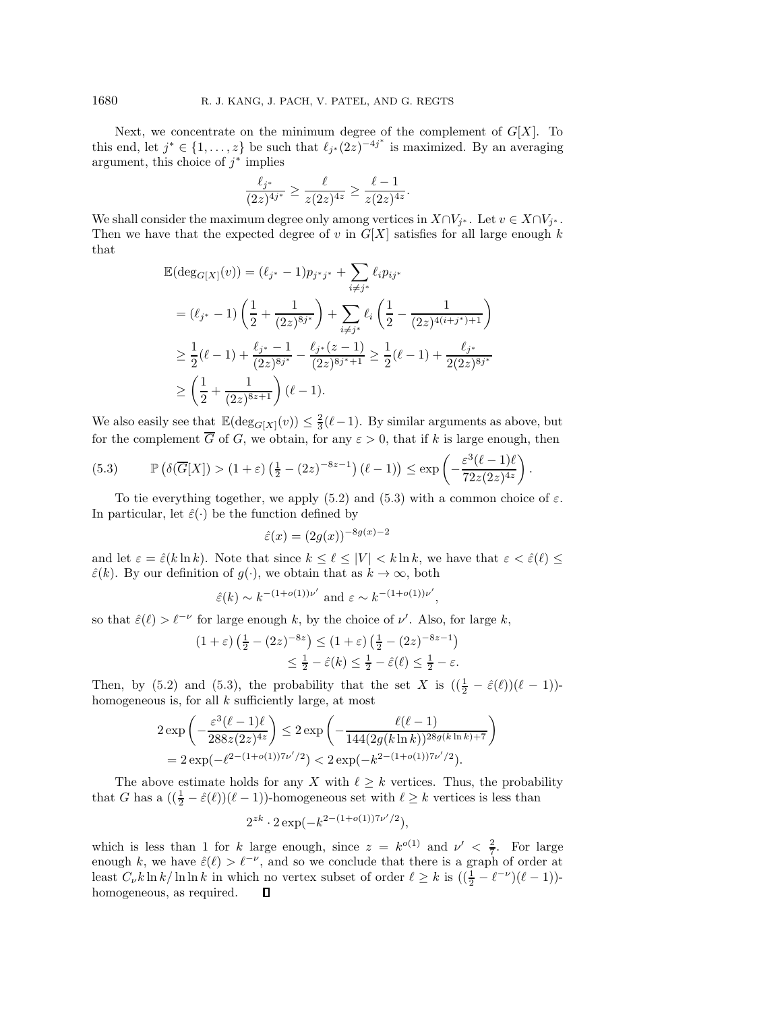Next, we concentrate on the minimum degree of the complement of  $G[X]$ . To this end, let  $j^* \in \{1, \ldots, z\}$  be such that  $\ell_{j^*}(2z)^{-4j^*}$  is maximized. By an averaging argument, this choice of  $j^*$  implies

$$
\frac{\ell_{j^*}}{(2z)^{4j^*}} \geq \frac{\ell}{z(2z)^{4z}} \geq \frac{\ell-1}{z(2z)^{4z}}.
$$

We shall consider the maximum degree only among vertices in  $X \cap V_{j^*}$ . Let  $v \in X \cap V_{j^*}$ . Then we have that the expected degree of v in  $G[X]$  satisfies for all large enough k that

$$
\mathbb{E}(\deg_{G[X]}(v)) = (\ell_{j^*} - 1)p_{j^*j^*} + \sum_{i \neq j^*} \ell_i p_{ij^*}
$$
\n
$$
= (\ell_{j^*} - 1) \left( \frac{1}{2} + \frac{1}{(2z)^{8j^*}} \right) + \sum_{i \neq j^*} \ell_i \left( \frac{1}{2} - \frac{1}{(2z)^{4(i+j^*)+1}} \right)
$$
\n
$$
\geq \frac{1}{2} (\ell - 1) + \frac{\ell_{j^*} - 1}{(2z)^{8j^*}} - \frac{\ell_{j^*}(z - 1)}{(2z)^{8j^*+1}} \geq \frac{1}{2} (\ell - 1) + \frac{\ell_{j^*}}{2(2z)^{8j^*}}
$$
\n
$$
\geq \left( \frac{1}{2} + \frac{1}{(2z)^{8z+1}} \right) (\ell - 1).
$$

We also easily see that  $\mathbb{E}(\deg_{G[X]}(v)) \leq \frac{2}{3}(\ell-1)$ . By similar arguments as above, but for the complement  $\overline{G}$  of G, we obtain, for any  $\varepsilon > 0$ , that if k is large enough, then

<span id="page-10-0"></span>(5.3) 
$$
\mathbb{P}\left(\delta(\overline{G}[X]) > (1+\varepsilon)\left(\frac{1}{2} - (2z)^{-8z-1}\right)(\ell-1)\right) \le \exp\left(-\frac{\varepsilon^3(\ell-1)\ell}{72z(2z)^{4z}}\right).
$$

To tie everything together, we apply [\(5.2\)](#page-9-1) and [\(5.3\)](#page-10-0) with a common choice of  $\varepsilon$ . In particular, let  $\hat{\varepsilon}(\cdot)$  be the function defined by

$$
\hat{\varepsilon}(x) = (2g(x))^{-8g(x)-2}
$$

and let  $\varepsilon = \hat{\varepsilon}(k \ln k)$ . Note that since  $k \leq \ell \leq |V| < k \ln k$ , we have that  $\varepsilon < \hat{\varepsilon}(\ell) \leq$  $\hat{\varepsilon}(k)$ . By our definition of  $g(\cdot)$ , we obtain that as  $k \to \infty$ , both

$$
\hat{\varepsilon}(k) \sim k^{-(1+o(1))\nu'}
$$
 and  $\varepsilon \sim k^{-(1+o(1))\nu'}$ ,

so that  $\hat{\varepsilon}(\ell) > \ell^{-\nu}$  for large enough k, by the choice of  $\nu'$ . Also, for large k,

$$
(1+\varepsilon)\left(\frac{1}{2} - (2z)^{-8z}\right) \le (1+\varepsilon)\left(\frac{1}{2} - (2z)^{-8z-1}\right)
$$
  

$$
\le \frac{1}{2} - \hat{\varepsilon}(k) \le \frac{1}{2} - \hat{\varepsilon}(\ell) \le \frac{1}{2} - \varepsilon.
$$

Then, by [\(5.2\)](#page-9-1) and [\(5.3\)](#page-10-0), the probability that the set X is  $((\frac{1}{2} - \hat{\varepsilon}(\ell))(\ell - 1))$ homogeneous is, for all  $k$  sufficiently large, at most

$$
2 \exp\left(-\frac{\varepsilon^3 (\ell-1)\ell}{288z(2z)^{4z}}\right) \leq 2 \exp\left(-\frac{\ell(\ell-1)}{144(2g(k\ln k))^{28g(k\ln k)+7}}\right)
$$
  
=  $2 \exp(-\ell^{2-(1+o(1))7\nu'/2}) < 2 \exp(-k^{2-(1+o(1))7\nu'/2}).$ 

The above estimate holds for any X with  $\ell \geq k$  vertices. Thus, the probability that G has a  $(\frac{1}{2} - \hat{\varepsilon}(\ell))(\ell - 1)$ -homogeneous set with  $\ell \geq k$  vertices is less than

$$
2^{zk} \cdot 2 \exp(-k^{2-(1+o(1))7\nu'/2}),
$$

which is less than 1 for k large enough, since  $z = k^{o(1)}$  and  $\nu' < \frac{2}{7}$ . For large enough k, we have  $\hat{\varepsilon}(\ell) > \ell^{-\nu}$ , and so we conclude that there is a graph of order at least  $C_{\nu} k \ln k / \ln \ln k$  in which no vertex subset of order  $\ell \geq k$  is  $((\frac{1}{2} - \ell^{-\nu})(\ell - 1))$ homogeneous, as required.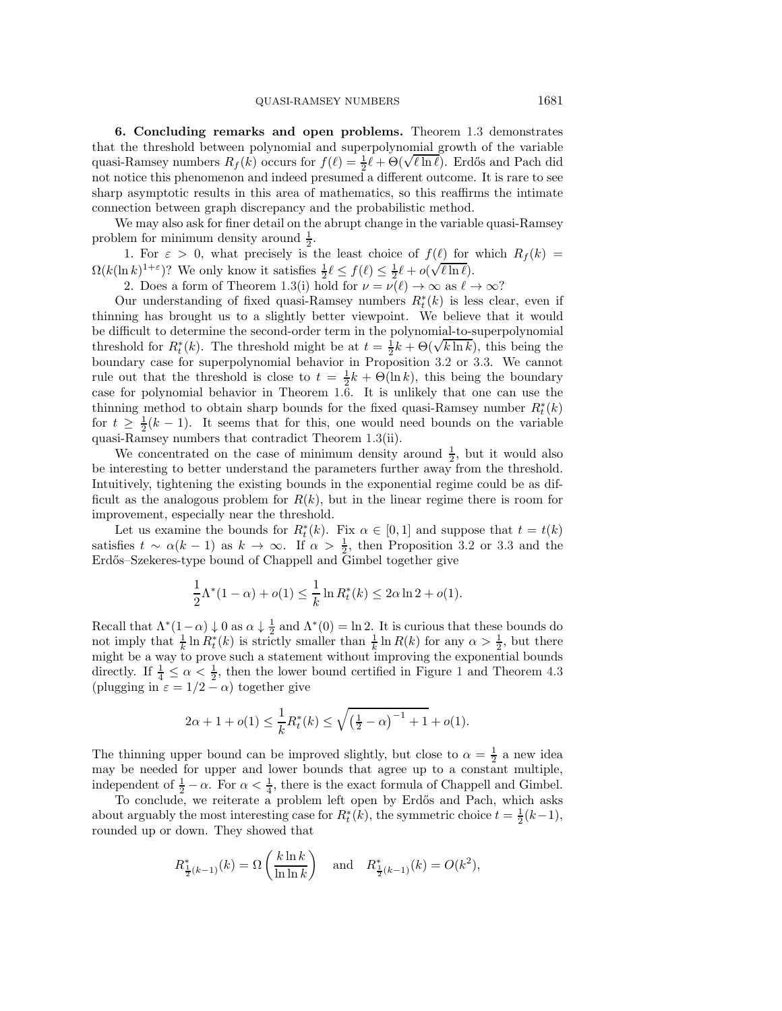<span id="page-11-0"></span>**6. Concluding remarks and open problems.** Theorem [1.3](#page-1-1) demonstrates that the threshold between polynomial and superpolynomial growth of the variable that the threshold between polynomial and superpolynomial growth of the variable<br>quasi-Ramsey numbers  $R_f(k)$  occurs for  $f(\ell) = \frac{1}{2}\ell + \Theta(\sqrt{\ell \ln \ell})$ . Erdős and Pach did<br>not notice this phase program and indeed presumed a d not notice this phenomenon and indeed presumed a different outcome. It is rare to see sharp asymptotic results in this area of mathematics, so this reaffirms the intimate connection between graph discrepancy and the probabilistic method.

We may also ask for finer detail on the abrupt change in the variable quasi-Ramsey problem for minimum density around  $\frac{1}{2}$ .

1. For  $\varepsilon > 0$ , what precisely is the least choice of  $f(\ell)$  for which  $R_f(k) =$  $\Omega(k(\ln k)^{1+\varepsilon})$ ? We only know it satisfies  $\frac{1}{2}\ell \le f(\ell) \le \frac{1}{2}\ell + o(\sqrt{\ell \ln \ell})$ .

2. Does a form of Theorem [1.3\(](#page-1-1)i) hold for  $\nu = \nu(\ell) \to \infty$  as  $\ell \to \infty$ ?

Our understanding of fixed quasi-Ramsey numbers  $R_t^*(k)$  is less clear, even if the point of the point of the point of the point of the point of the point of the point of the point of the point of the point of the point o thinning has brought us to a slightly better viewpoint. We believe that it would be difficult to determine the second-order term in the polynomial-to-superpolynomial threshold for  $R_t^*(k)$ . The threshold might be at  $t = \frac{1}{2}k + \Theta(\sqrt{k \ln k})$ , this being the boundary case for superpolynomial behavior in Proposition 3.2 or 3.3. We cannot boundary case for superpolynomial behavior in Proposition [3.2](#page-5-0) or [3.3.](#page-6-4) We cannot rule out that the threshold is close to  $t = \frac{1}{2}k + \Theta(\ln k)$ , this being the boundary case for polynomial behavior in Theorem [1.6.](#page-2-2) It is unlikely that one can use the thinning method to obtain sharp bounds for the fixed quasi-Ramsey number  $R_t^*(k)$ <br>for  $t > \frac{1}{k-1}$ , It seems that for this are would need bounds on the variable for  $t \geq \frac{1}{2}(k-1)$ . It seems that for this, one would need bounds on the variable quasi-Ramsey numbers that contradict Theorem [1.3\(](#page-1-1)ii).

We concentrated on the case of minimum density around  $\frac{1}{2}$ , but it would also be interesting to better understand the parameters further away from the threshold. Intuitively, tightening the existing bounds in the exponential regime could be as difficult as the analogous problem for  $R(k)$ , but in the linear regime there is room for improvement, especially near the threshold.

Let us examine the bounds for  $R_t^*(k)$ . Fix  $\alpha \in [0,1]$  and suppose that  $t = t(k)$ satisfies  $t \sim \alpha(k-1)$  as  $k \to \infty$ . If  $\alpha > \frac{1}{2}$ , then Proposition [3.2](#page-5-0) or [3.3](#page-6-4) and the Erdős–Szekeres-type bound of Chappell and Gimbel together give

$$
\frac{1}{2}\Lambda^*(1-\alpha) + o(1) \le \frac{1}{k}\ln R_t^*(k) \le 2\alpha \ln 2 + o(1).
$$

Recall that  $\Lambda^*(1-\alpha) \downarrow 0$  as  $\alpha \downarrow \frac{1}{2}$  and  $\Lambda^*(0) = \ln 2$ . It is curious that these bounds do not imply that  $\frac{1}{k} \ln R_t^*(k)$  is strictly smaller than  $\frac{1}{k} \ln R(k)$  for any  $\alpha > \frac{1}{2}$ , but there might be a way to prove such a statement without improving the exponential bounds might be a way to prove such a statement without improving the exponential bounds directly. If  $\frac{1}{4} \leq \alpha < \frac{1}{2}$  $\frac{1}{4} \leq \alpha < \frac{1}{2}$  $\frac{1}{4} \leq \alpha < \frac{1}{2}$ , then the lower bound certified in Figure 1 and Theorem [4.3](#page-7-0) (plugging in  $\varepsilon = 1/2 - \alpha$ ) together give

$$
2\alpha + 1 + o(1) \le \frac{1}{k} R_t^*(k) \le \sqrt{\left(\frac{1}{2} - \alpha\right)^{-1} + 1} + o(1).
$$

The thinning upper bound can be improved slightly, but close to  $\alpha = \frac{1}{2}$  a new idea may be needed for upper and lower bounds that agree up to a constant multiple, independent of  $\frac{1}{2} - \alpha$ . For  $\alpha < \frac{1}{4}$ , there is the exact formula of Chappell and Gimbel.

To conclude, we reiterate a problem left open by Erdős and Pach, which asks about arguably the most interesting case for  $R_t^*(k)$ , the symmetric choice  $t = \frac{1}{2}(k-1)$ ,<br>rounded up or down. They showed that rounded up or down. They showed that

$$
R_{\frac{1}{2}(k-1)}^*(k) = \Omega\left(\frac{k \ln k}{\ln \ln k}\right)
$$
 and  $R_{\frac{1}{2}(k-1)}^*(k) = O(k^2)$ ,